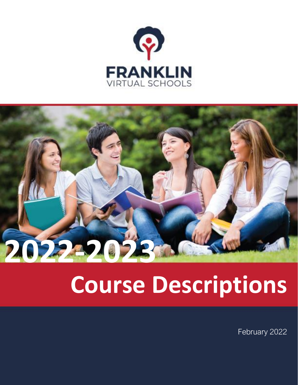

# **2022-2023**

# **Course Descriptions**

February 2022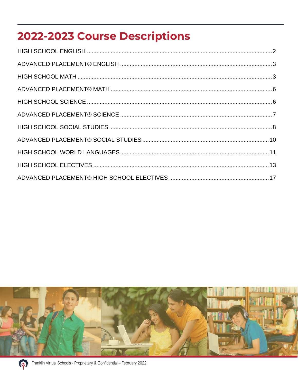# 2022-2023 Course Descriptions



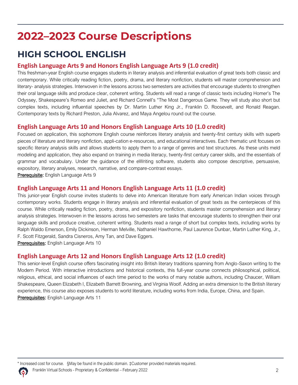# **2022–2023 Course Descriptions**

# <span id="page-2-0"></span>**HIGH SCHOOL ENGLISH**

#### **English Language Arts 9 and Honors English Language Arts 9 (1.0 credit)**

This freshman-year English course engages students in literary analysis and inferential evaluation of great texts both classic and contemporary. While critically reading fiction, poetry, drama, and literary nonfiction, students will master comprehension and literary- analysis strategies. Interwoven in the lessons across two semesters are activities that encourage students to strengthen their oral language skills and produce clear, coherent writing. Students will read a range of classic texts including Homer's The Odyssey, Shakespeare's Romeo and Juliet, and Richard Connell's "The Most Dangerous Game. They will study also short but complex texts, including influential speeches by Dr. Martin Luther King Jr., Franklin D. Roosevelt, and Ronald Reagan. Contemporary texts by Richard Preston, Julia Alvarez, and Maya Angelou round out the course.

#### **English Language Arts 10 and Honors English Language Arts 10 (1.0 credit)**

Focused on application, this sophomore English course reinforces literary analysis and twenty-first century skills with superb pieces of literature and literary nonfiction, appli-cation e-resources, and educational interactives. Each thematic unit focuses on specific literary analysis skills and allows students to apply them to a range of genres and text structures. As these units meld modeling and application, they also expand on training in media literacy, twenty-first century career skills, and the essentials of grammar and vocabulary. Under the guidance of the eWriting software, students also compose descriptive, persuasive, expository, literary analyses, research, narrative, and compare-contrast essays.

Prerequisite: English Language Arts 9

#### **English Language Arts 11 and Honors English Language Arts 11 (1.0 credit)**

This junior-year English course invites students to delve into American literature from early American Indian voices through contemporary works. Students engage in literary analysis and inferential evaluation of great texts as the centerpieces of this course. While critically reading fiction, poetry, drama, and expository nonfiction, students master comprehension and literary analysis strategies. Interwoven in the lessons across two semesters are tasks that encourage students to strengthen their oral language skills and produce creative, coherent writing. Students read a range of short but complex texts, including works by Ralph Waldo Emerson, Emily Dickinson, Herman Melville, Nathaniel Hawthorne, Paul Laurence Dunbar, Martin Luther King, Jr., F. Scott Fitzgerald, Sandra Cisneros, Amy Tan, and Dave Eggers.

Prerequisites: English Language Arts 10

#### **English Language Arts 12 and Honors English Language Arts 12 (1.0 credit)**

This senior-level English course offers fascinating insight into British literary traditions spanning from Anglo-Saxon writing to the Modern Period. With interactive introductions and historical contexts, this full-year course connects philosophical, political, religious, ethical, and social influences of each time period to the works of many notable authors, including Chaucer, William Shakespeare, Queen Elizabeth I, Elizabeth Barrett Browning, and Virginia Woolf. Adding an extra dimension to the British literary experience, this course also exposes students to world literature, including works from India, Europe, China, and Spain. Prerequisites: English Language Arts 11

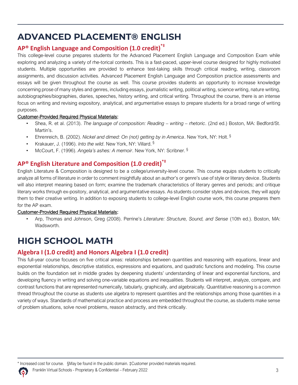## <span id="page-3-0"></span>**ADVANCED PLACEMENT® ENGLISH**

#### **AP® English Language and Composition (1.0 credit) \*‡**

This college-level course prepares students for the Advanced Placement English Language and Composition Exam while exploring and analyzing a variety of rhe-torical contexts. This is a fast-paced, upper-level course designed for highly motivated students. Multiple opportunities are provided to enhance test-taking skills through critical reading, writing, classroom assignments, and discussion activities. Advanced Placement English Language and Composition practice assessments and essays will be given throughout the course as well. This course provides students an opportunity to increase knowledge concerning prose of many styles and genres, including essays, journalistic writing, political writing, science writing, nature writing, autobiographies/biographies, diaries, speeches, history writing, and critical writing. Throughout the course, there is an intense focus on writing and revising expository, analytical, and argumentative essays to prepare students for a broad range of writing purposes.

#### Customer-Provided Required Physical Materials:

- Shea, R. et al. (2013). *The language of composition: Reading – writing – rhetoric*. (2nd ed.) Boston, MA: Bedford/St. Martin's.
- Ehrenreich, B. (2002). *Nickel and dimed: On (not) getting by in America*. New York, NY: Holt. §
- Krakauer, J. (1996). *Into the wild*. New York, NY: Villard. §
- McCourt, F. (1996). *Angela's ashes: A memoir*. New York, NY: Scribner. §

#### **AP® English Literature and Composition (1.0 credit) \*‡**

English Literature & Composition is designed to be a college/university-level course. This course equips students to critically analyze all forms of literature in order to comment insightfully about an author's or genre's use of style or literary device. Students will also interpret meaning based on form; examine the trademark characteristics of literary genres and periods; and critique literary works through ex-pository, analytical, and argumentative essays. As students consider styles and devices, they will apply them to their creative writing. In addition to exposing students to college-level English course work, this course prepares them for the AP exam.

#### Customer-Provided Required Physical Materials:

• Arp, Thomas and Johnson, Greg (2008). Perrine's *Literature: Structure, Sound, and Sense* (10th ed.). Boston, MA: Wadsworth.

# <span id="page-3-1"></span>**HIGH SCHOOL MATH**

#### **Algebra I (1.0 credit) and Honors Algebra I (1.0 credit)**

This full-year course focuses on five critical areas: relationships between quantities and reasoning with equations, linear and exponential relationships, descriptive statistics, expressions and equations, and quadratic functions and modeling. This course builds on the foundation set in middle grades by deepening students' understanding of linear and exponential functions, and developing fluency in writing and solving one-variable equations and inequalities. Students will interpret, analyze, compare, and contrast functions that are represented numerically, tabularly, graphically, and algebraically. Quantitative reasoning is a common thread throughout the course as students use algebra to represent quantities and the relationships among those quantities in a variety of ways. Standards of mathematical practice and process are embedded throughout the course, as students make sense of problem situations, solve novel problems, reason abstractly, and think critically.

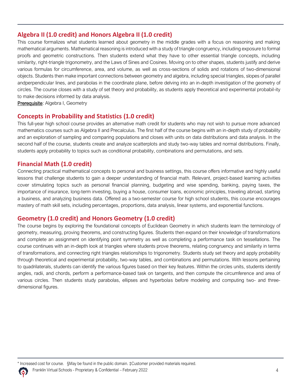#### **Algebra II (1.0 credit) and Honors Algebra II (1.0 credit)**

This course formalizes what students learned about geometry in the middle grades with a focus on reasoning and making mathematical arguments. Mathematical reasoning is introduced with a study of triangle congruency, including exposure to formal proofs and geometric constructions. Then students extend what they have to other essential triangle concepts, including similarity, right-triangle trigonometry, and the Laws of Sines and Cosines. Moving on to other shapes, students justify and derive various formulas for circumference, area, and volume, as well as cross-sections of solids and rotations of two-dimensional objects. Students then make important connections between geometry and algebra, including special triangles, slopes of parallel andperpendicular lines, and parabolas in the coordinate plane, before delving into an in-depth investigation of the geometry of circles. The course closes with a study of set theory and probability, as students apply theoretical and experimental probabil-ity to make decisions informed by data analysis.

Prerequisite: Algebra I, Geometry

#### **Concepts in Probability and Statistics (1.0 credit)**

This full-year high school course provides an alternative math credit for students who may not wish to pursue more advanced mathematics courses such as Algebra II and Precalculus. The first half of the course begins with an in-depth study of probability and an exploration of sampling and comparing populations and closes with units on data distributions and data analysis. In the second half of the course, students create and analyze scatterplots and study two-way tables and normal distributions. Finally, students apply probability to topics such as conditional probability, combinations and permutations, and sets.

#### **Financial Math (1.0 credit)**

Connecting practical mathematical concepts to personal and business settings, this course offers informative and highly useful lessons that challenge students to gain a deeper understanding of financial math. Relevant, project-based learning activities cover stimulating topics such as personal financial planning, budgeting and wise spending, banking, paying taxes, the importance of insurance, long-term investing, buying a house, consumer loans, economic principles, traveling abroad, starting a business, and analyzing business data. Offered as a two-semester course for high school students, this course encourages mastery of math skill sets, including percentages, proportions, data analysis, linear systems, and exponential functions.

#### **Geometry (1.0 credit) and Honors Geometry (1.0 credit)**

The course begins by exploring the foundational concepts of Euclidean Geometry in which students learn the terminology of geometry, measuring, proving theorems, and constructing figures. Students then expand on their knowledge of transformations and complete an assignment on identifying point symmetry as well as completing a performance task on tessellations. The course continues with an in-depth look at triangles where students prove theorems, relating congruency and similarity in terms of transformations, and connecting right triangles relationships to trigonometry. Students study set theory and apply probability through theoretical and experimental probability, two-way tables, and combinations and permutations. With lessons pertaining to quadrilaterals, students can identify the various figures based on their key features. Within the circles units, students identify angles, radii, and chords, perform a performance-based task on tangents, and then compute the circumference and area of various circles. Then students study parabolas, ellipses and hyperbolas before modeling and computing two- and threedimensional figures.

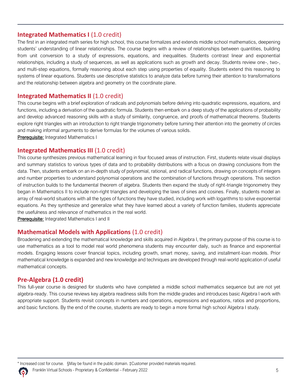#### **Integrated Mathematics I (1.0 credit)**

The first in an integrated math series for high school, this course formalizes and extends middle school mathematics, deepening students' understanding of linear relationships. The course begins with a review of relationships between quantities, building from unit conversion to a study of expressions, equations, and inequalities. Students contrast linear and exponential relationships, including a study of sequences, as well as applications such as growth and decay. Students review one-, two-, and multi-step equations, formally reasoning about each step using properties of equality. Students extend this reasoning to systems of linear equations. Students use descriptive statistics to analyze data before turning their attention to transformations and the relationship between algebra and geometry on the coordinate plane.

#### **Integrated Mathematics II (1.0 credit)**

This course begins with a brief exploration of radicals and polynomials before delving into quadratic expressions, equations, and functions, including a derivation of the quadratic formula. Students then embark on a deep study of the applications of probability and develop advanced reasoning skills with a study of similarity, congruence, and proofs of mathematical theorems. Students explore right triangles with an introduction to right triangle trigonometry before turning their attention into the geometry of circles and making informal arguments to derive formulas for the volumes of various solids.

Prerequisite: Integrated Mathematics I

#### **Integrated Mathematics III (1.0 credit)**

This course synthesizes previous mathematical learning in four focused areas of instruction. First, students relate visual displays and summary statistics to various types of data and to probability distributions with a focus on drawing conclusions from the data. Then, students embark on an in-depth study of polynomial, rational, and radical functions, drawing on concepts of integers and number properties to understand polynomial operations and the combination of functions through operations. This section of instruction builds to the fundamental theorem of algebra. Students then expand the study of right-triangle trigonometry they began in Mathematics II to include non-right triangles and developing the laws of sines and cosines. Finally, students model an array of real-world situations with all the types of functions they have studied, including work with logarithms to solve exponential equations. As they synthesize and generalize what they have learned about a variety of function families, students appreciate the usefulness and relevance of mathematics in the real world.

Prerequisite: Integrated Mathematics I and II

#### **Mathematical Models with Applications** (1.0 credit)

Broadening and extending the mathematical knowledge and skills acquired in Algebra I, the primary purpose of this course is to use mathematics as a tool to model real world phenomena students may encounter daily, such as finance and exponential models. Engaging lessons cover financial topics, including growth, smart money, saving, and installment-loan models. Prior mathematical knowledge is expanded and new knowledge and techniques are developed through real-world application of useful mathematical concepts.

#### **Pre-Algebra (1.0 credit)**

This full-year course is designed for students who have completed a middle school mathematics sequence but are not yet algebra-ready. This course reviews key algebra readiness skills from the middle grades and introduces basic Algebra I work with appropriate support. Students revisit concepts in numbers and operations, expressions and equations, ratios and proportions, and basic functions. By the end of the course, students are ready to begin a more formal high school Algebra I study.

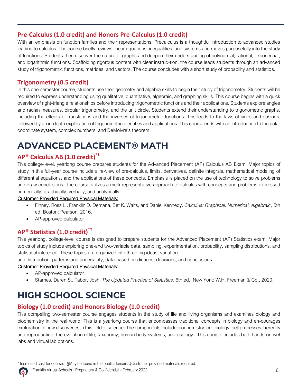#### **Pre-Calculus (1.0 credit) and Honors Pre-Calculus (1.0 credit)**

With an emphasis on function families and their representations, Precalculus is a thoughtful introduction to advanced studies leading to calculus. The course briefly reviews linear equations, inequalities, and systems and moves purposefully into the study of functions. Students then discover the nature of graphs and deepen their understanding of polynomial, rational, exponential, and logarithmic functions. Scaffolding rigorous content with clear instruc-tion, the course leads students through an advanced study of trigonometric functions, matrices, and vectors. The course concludes with a short study of probability and statistics.

#### **Trigonometry (0.5 credit)**

In this one-semester course, students use their geometry and algebra skills to begin their study of trigonometry. Students will be required to express understanding using qualitative, quantitative, algebraic, and graphing skills. This course begins with a quick overview of right-triangle relationships before introducing trigonometric functions and their applications. Students explore angles and radian measures, circular trigonometry, and the unit circle. Students extend their understanding to trigonometric graphs, including the effects of translations and the inverses of trigonometric functions. This leads to the laws of sines and cosines, followed by an in-depth exploration of trigonometric identities and applications. This course ends with an introduction to the polar coordinate system, complex numbers, and DeMoivre's theorem.

# <span id="page-6-0"></span>**ADVANCED PLACEMENT® MATH**

#### **AP® Calculus AB (1.0 credit) \*‡**

This college-level, yearlong course prepares students for the Advanced Placement (AP) Calculus AB Exam. Major topics of study in this full-year course include a re-view of pre-calculus, limits, derivatives, definite integrals, mathematical modeling of differential equations, and the applications of these concepts. Emphasis is placed on the use of technology to solve problems and draw conclusions. The course utilizes a multi-representative approach to calculus with concepts and problems expressed numerically, graphically, verbally, and analytically.

#### Customer-Provided Required Physical Materials:

- Finney, Ross L., Franklin D. Demana, Bet K. Waits, and Daniel Kennedy. *Calculus: Graphical, Numerical, Algebraic*, 5th ed. Boston: Pearson, 2016.
- AP-approved calculator

#### **AP® Statistics (1.0 credit)\*‡**

This yearlong, college-level course is designed to prepare students for the Advanced Placement (AP) Statistics exam. Major topics of study include exploring one-and two-variable data, sampling, experimentation, probability, sampling distributions, and statistical inference. These topics are organized into three big ideas: variation

and distribution, patterns and uncertainty, data-based predictions, decisions, and conclusions.

#### Customer-Provided Required Physical Materials:

- AP-approved calculator
- Starnes, Daren S., Tabor, Josh. *The Updated Practice of Statistics*, 6th ed., New York: W.H. Freeman & Co., 2020.

# <span id="page-6-1"></span>**HIGH SCHOOL SCIENCE**

#### **Biology (1.0 credit) and Honors Biology (1.0 credit)**

This compelling two-semester course engages students in the study of life and living organisms and examines biology and biochemistry in the real world. This is a yearlong course that encompasses traditional concepts in biology and en-courages exploration of new discoveries in this field of science. The components include biochemistry, cell biology, cell processes, heredity and reproduction, the evolution of life, taxonomy, human body systems, and ecology. This course includes both hands-on wet labs and virtual lab options.

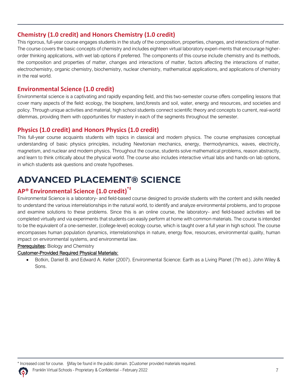#### **Chemistry (1.0 credit) and Honors Chemistry (1.0 credit)**

This rigorous, full-year course engages students in the study of the composition, properties, changes, and interactions of matter. The course covers the basic concepts of chemistry and includes eighteen virtual laboratory experi-ments that encourage higherorder thinking applications, with wet lab options if preferred. The components of this course include chemistry and its methods, the composition and properties of matter, changes and interactions of matter, factors affecting the interactions of matter, electrochemistry, organic chemistry, biochemistry, nuclear chemistry, mathematical applications, and applications of chemistry in the real world.

#### **Environmental Science (1.0 credit)**

Environmental science is a captivating and rapidly expanding field, and this two-semester course offers compelling lessons that cover many aspects of the field: ecology, the biosphere, land,forests and soil, water, energy and resources, and societies and policy. Through unique activities and material, high school students connect scientific theory and concepts to current, real-world dilemmas, providing them with opportunities for mastery in each of the segments throughout the semester.

#### **Physics (1.0 credit) and Honors Physics (1.0 credit)**

This full-year course acquaints students with topics in classical and modern physics. The course emphasizes conceptual understanding of basic physics principles, including Newtonian mechanics, energy, thermodynamics, waves, electricity, magnetism, and nuclear and modern physics. Throughout the course, students solve mathematical problems, reason abstractly, and learn to think critically about the physical world. The course also includes interactive virtual labs and hands-on lab options, in which students ask questions and create hypotheses.

# <span id="page-7-0"></span>**ADVANCED PLACEMENT® SCIENCE**

#### **AP® Environmental Science (1.0 credit)\*‡**

Environmental Science is a laboratory- and field-based course designed to provide students with the content and skills needed to understand the various interrelationships in the natural world, to identify and analyze environmental problems, and to propose and examine solutions to these problems. Since this is an online course, the laboratory- and field-based activities will be completed virtually and via experiments that students can easily perform at home with common materials. The course is intended to be the equivalent of a one-semester, (college-level) ecology course, which is taught over a full year in high school. The course encompasses human population dynamics, interrelationships in nature, energy flow, resources, environmental quality, human impact on environmental systems, and environmental law.

**Prerequisites:** Biology and Chemistry

#### Customer-Provided Required Physical Materials:

• Botkin, Daniel B. and Edward A. Keller (2007). Environmental Science: Earth as a Living Planet (7th ed.). John Wiley & Sons.

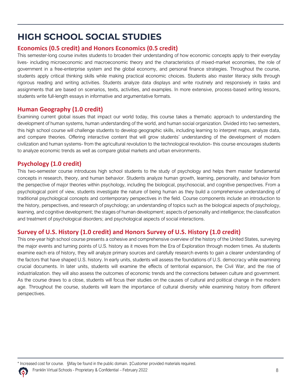# <span id="page-8-0"></span>**HIGH SCHOOL SOCIAL STUDIES**

#### **Economics (0.5 credit) and Honors Economics (0.5 credit)**

This semester-long course invites students to broaden their understanding of how economic concepts apply to their everyday lives- including microeconomic and macroeconomic theory and the characteristics of mixed-market economies, the role of government in a free-enterprise system and the global economy, and personal finance strategies. Throughout the course, students apply critical thinking skills while making practical economic choices. Students also master literacy skills through rigorous reading and writing activities. Students analyze data displays and write routinely and responsively in tasks and assignments that are based on scenarios, texts, activities, and examples. In more extensive, process-based writing lessons, students write full-length essays in informative and argumentative formats.

#### **Human Geography (1.0 credit)**

Examining current global issues that impact our world today, this course takes a thematic approach to understanding the development of human systems, human understanding of the world, and human social organization. Divided into two semesters, this high school course will challenge students to develop geographic skills, including learning to interpret maps, analyze data, and compare theories. Offering interactive content that will grow students' understanding of the development of modern civilization and human systems- from the agricultural revolution to the technological revolution- this course encourages students to analyze economic trends as well as compare global markets and urban environments.

#### **Psychology (1.0 credit)**

This two-semester course introduces high school students to the study of psychology and helps them master fundamental concepts in research, theory, and human behavior. Students analyze human growth, learning, personality, and behavior from the perspective of major theories within psychology, including the biological, psychosocial, and cognitive perspectives. From a psychological point of view, students investigate the nature of being human as they build a comprehensive understanding of traditional psychological concepts and contemporary perspectives in the field. Course components include an introduction to the history, perspectives, and research of psychology; an understanding of topics such as the biological aspects of psychology, learning, and cognitive development; the stages of human development; aspects of personality and intelligence; the classification and treatment of psychological disorders; and psychological aspects of social interactions.

#### **Survey of U.S. History (1.0 credit) and Honors Survey of U.S. History (1.0 credit)**

This one-year high school course presents a cohesive and comprehensive overview of the history of the United States, surveying the major events and turning points of U.S. history as it moves from the Era of Exploration through modern times. As students examine each era of history, they will analyze primary sources and carefully research events to gain a clearer understanding of the factors that have shaped U.S. history. In early units, students will assess the foundations of U.S. democracy while examining crucial documents. In later units, students will examine the effects of territorial expansion, the Civil War, and the rise of industrialization. they will also assess the outcomes of economic trends and the connections between culture and government. As the course draws to a close, students will focus their studies on the causes of cultural and political change in the modern age. Throughout the course, students will learn the importance of cultural diversity while examining history from different perspectives.

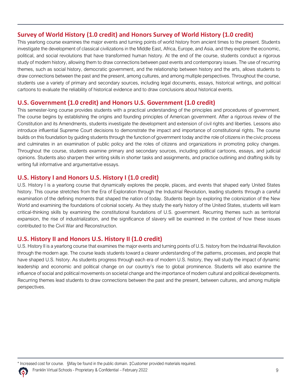#### **Survey of World History (1.0 credit) and Honors Survey of World History (1.0 credit)**

This yearlong course examines the major events and turning points of world history from ancient times to the present. Students investigate the development of classical civilizations in the Middle East, Africa, Europe, and Asia, and they explore the economic, political, and social revolutions that have transformed human history. At the end of the course, students conduct a rigorous study of modern history, allowing them to draw connections between past events and contemporary issues. The use of recurring themes, such as social history, democratic government, and the relationship between history and the arts, allows students to draw connections between the past and the present, among cultures, and among multiple perspectives. Throughout the course, students use a variety of primary and secondary sources, including legal documents, essays, historical writings, and political cartoons to evaluate the reliability of historical evidence and to draw conclusions about historical events.

#### **U.S. Government (1.0 credit) and Honors U.S. Government (1.0 credit)**

This semester-long course provides students with a practical understanding of the principles and procedures of government. The course begins by establishing the origins and founding principles of American government. After a rigorous review of the Constitution and its Amendments, students investigate the development and extension of civil rights and liberties. Lessons also introduce influential Supreme Court decisions to demonstrate the impact and importance of constitutional rights. The course builds on this foundation by guiding students through the function of government today and the role of citizens in the civic process and culminates in an examination of public policy and the roles of citizens and organizations in promoting policy changes. Throughout the course, students examine primary and secondary sources, including political cartoons, essays, and judicial opinions. Students also sharpen their writing skills in shorter tasks and assignments, and practice outlining and drafting skills by writing full informative and argumentative essays.

#### **U.S. History I and Honors U.S. History I (1.0 credit)**

U.S. History I is a yearlong course that dynamically explores the people, places, and events that shaped early United States history. This course stretches from the Era of Exploration through the Industrial Revolution, leading students through a careful examination of the defining moments that shaped the nation of today. Students begin by exploring the colonization of the New World and examining the foundations of colonial society. As they study the early history of the United States, students will learn critical-thinking skills by examining the constitutional foundations of U.S. government. Recurring themes such as territorial expansion, the rise of industrialization, and the significance of slavery will be examined in the context of how these issues contributed to the Civil War and Reconstruction.

#### **U.S. History II and Honors U.S. History II (1.0 credit)**

U.S. History II is a yearlong course that examines the major events and turning points of U.S. history from the Industrial Revolution through the modern age. The course leads students toward a clearer understanding of the patterns, processes, and people that have shaped U.S. history. As students progress through each era of modern U.S. history, they will study the impact of dynamic leadership and economic and political change on our country's rise to global prominence. Students will also examine the influence of social and political movements on societal change and the importance of modern cultural and political developments. Recurring themes lead students to draw connections between the past and the present, between cultures, and among multiple perspectives.

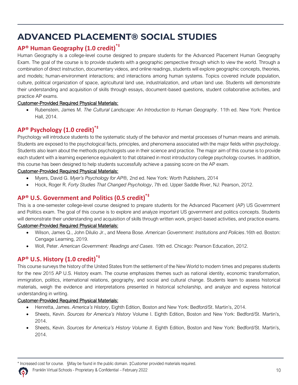# <span id="page-10-0"></span>**ADVANCED PLACEMENT® SOCIAL STUDIES**

#### **AP® Human Geography (1.0 credit)\*‡**

Human Geography is a college-level course designed to prepare students for the Advanced Placement Human Geography Exam. The goal of the course is to provide students with a geographic perspective through which to view the world. Through a combination of direct instruction, documentary videos, and online readings, students will explore geographic concepts, theories, and models; human-environment interactions; and interactions among human systems. Topics covered include population, culture, political organization of space, agricultural land use, industrialization, and urban land use. Students will demonstrate their understanding and acquisition of skills through essays, document-based questions, student collaborative activities, and practice AP exams.

#### Customer-Provided Required Physical Materials:

• Rubenstein, James M. *The Cultural Landscape: An Introduction to Human Geography*. 11th ed. New York: Prentice Hall, 2014.

#### **AP® Psychology (1.0 credit)\*‡**

Psychology will introduce students to the systematic study of the behavior and mental processes of human means and animals. Students are exposed to the psychological facts, principles, and phenomena associated with the major fields within psychology. Students also learn about the methods psychologists use in their science and practice. The major aim of this course is to provide each student with a learning experience equivalent to that obtained in most introductory college psychology courses. In addition, this course has been designed to help students successfully achieve a passing score on the AP exam.

#### Customer-Provided Required Physical Materials:

- Myers, David G. *Myer's Psychology for AP®,* 2nd ed. New York: Worth Publishers, 2014
- Hock, Roger R. *Forty Studies That Changed Psychology*, 7th ed. Upper Saddle River, NJ: Pearson, 2012.

#### **AP® U.S. Government and Politics (0.5 credit) \*‡**

This is a one-semester college-level course designed to prepare students for the Advanced Placement (AP) US Government and Politics exam. The goal of this course is to explore and analyze important US government and politics concepts. Students will demonstrate their understanding and acquisition of skills through written work, project-based activities, and practice exams.

#### Customer-Provided Required Physical Materials:

- Wilson, James Q., John Dilulio Jr., and Meena Bose. *American Government: Institutions and Policies*.16th ed. Boston: Cengage Learning, 2019.
- Woll, Peter. *American Government: Readings and Cases*. 19th ed. Chicago: Pearson Education, 2012.

#### **AP® U.S. History (1.0 credit) \*‡**

This course surveys the history of the United States from the settlement of the New World to modern times and prepares students for the new 2015 AP U.S. History exam. The course emphasizes themes such as national identity, economic transformation, immigration, politics, international relations, geography, and social and cultural change. Students learn to assess historical materials, weigh the evidence and interpretations presented in historical scholarship, and analyze and express historical understanding in writing.

#### Customer-Provided Required Physical Materials:

- Henretta, James. *America's History*, Eighth Edition, Boston and New York: Bedford/St. Martin's, 2014.
- Sheets, Kevin. *Sources for America's History* Volume I. Eighth Edition, Boston and New York: Bedford/St. Martin's, 2014.
- Sheets, Kevin. *Sources for America's History Volume II.* Eighth Edition, Boston and New York: Bedford/St. Martin's, 2014.

\* Increased cost for course. §May be found in the public domain. ‡Customer provided materials required.

Franklin Virtual Schools - Proprietary & Confidential – February 2022 10

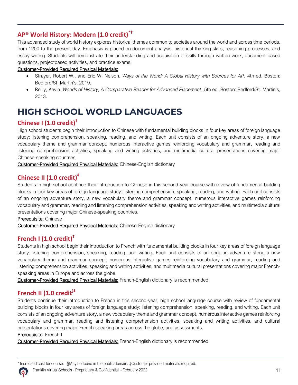#### **AP® World History: Modern (1.0 credit)\*‡**

This advanced study of world history explores historical themes common to societies around the world and across time periods, from 1200 to the present day. Emphasis is placed on document analysis, historical thinking skills, reasoning processes, and essay writing. Students will demonstrate their understanding and acquisition of skills through written work, document-based questions, projectbased activities, and practice exams.

#### Customer-Provided Required Physical Materials:

- Strayer, Robert W., and Eric W. Nelson. *Ways of the World: A Global History with Sources for AP.* 4th ed. Boston: Bedford/St. Martin's, 2019.
- Reilly, Kevin. *Worlds of History, A Comparative Reader for Advanced Placement*. 5th ed. Boston: Bedford/St. Martin's, 2013.

# <span id="page-11-0"></span>**HIGH SCHOOL WORLD LANGUAGES**

#### **Chinese I (1.0 credit)‡**

High school students begin their introduction to Chinese with fundamental building blocks in four key areas of foreign language study: listening comprehension, speaking, reading, and writing. Each unit consists of an ongoing adventure story, a new vocabulary theme and grammar concept, numerous interactive games reinforcing vocabulary and grammar, reading and listening comprehension activities, speaking and writing activities, and multimedia cultural presentations covering major Chinese-speaking countries.

Customer-Provided Required Physical Materials: Chinese-English dictionary

#### **Chinese II (1.0 credit)‡**

Students in high school continue their introduction to Chinese in this second-year course with review of fundamental building blocks in four key areas of foreign language study: listening comprehension, speaking, reading, and writing. Each unit consists of an ongoing adventure story, a new vocabulary theme and grammar concept, numerous interactive games reinforcing vocabulary and grammar, reading and listening comprehension activities, speaking and writing activities, and multimedia cultural presentations covering major Chinese-speaking countries.

Prerequisite: Chinese I

Customer-Provided Required Physical Materials: Chinese-English dictionary

#### **French I (1.0 credit)‡**

Students in high school begin their introduction to French with fundamental building blocks in four key areas of foreign language study: listening comprehension, speaking, reading, and writing. Each unit consists of an ongoing adventure story, a new vocabulary theme and grammar concept, numerous interactive games reinforcing vocabulary and grammar, reading and listening comprehension activities, speaking and writing activities, and multimedia cultural presentations covering major Frenchspeaking areas in Europe and across the globe.

Customer-Provided Required Physical Materials: French-English dictionary is recommended

#### **French II (1.0 credit)‡**

Students continue their introduction to French in this second-year, high school language course with review of fundamental building blocks in four key areas of foreign language study: listening comprehension, speaking, reading, and writing. Each unit consists of an ongoing adventure story, a new vocabulary theme and grammar concept, numerous interactive games reinforcing vocabulary and grammar, reading and listening comprehension activities, speaking and writing activities, and cultural presentations covering major French-speaking areas across the globe, and assessments.

Prerequisite: French I

Customer-Provided Required Physical Materials: French-English dictionary is recommended

\* Increased cost for course. §May be found in the public domain. ‡Customer provided materials required.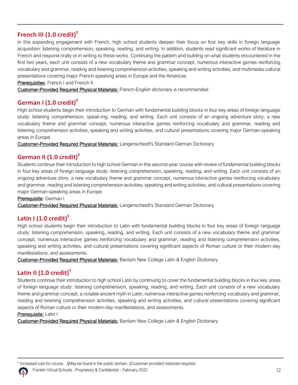#### **French III (1.0 credit)‡**

In this expanding engagement with French, high school students deepen their focus on four key skills in foreign language acquisition: listening comprehension, speaking, reading, and writing. In addition, students read significant works of literature in French and respond orally or in writing to these works. Continuing the pattern and building on what students encountered in the first two years, each unit consists of a new vocabulary theme and grammar concept, numerous interactive games reinforcing vocabulary and grammar, reading and listening comprehension activities, speaking and writing activities, and multimedia cultural presentations covering major French-speaking areas in Europe and the Americas.

Prerequisites: French I and French II

Customer-Provided Required Physical Materials: French-English dictionary is recommended

#### **German I (1.0 credit)‡**

High school students begin their introduction to German with fundamental building blocks in four key areas of foreign language study: listening comprehension, speak-ing, reading, and writing. Each unit consists of an ongoing adventure story, a new vocabulary theme and grammar concept, numerous interactive games reinforcing vocabulary and grammar, reading and listening comprehension activities, speaking and writing activities, and cultural presentations covering major German-speaking areas in Europe.

Customer-Provided Required Physical Materials: Langenscheidt's Standard German Dictionary

#### **German II (1.0 credit)‡**

Students continue their introduction to high school German in this second-year course with review of fundamental building blocks in four key areas of foreign language study: listening comprehension, speaking, reading, and writing. Each unit consists of an ongoing adventure story, a new vocabulary theme and grammar concept, numerous interactive games reinforcing vocabulary and grammar, reading and listening comprehension activities, speaking and writing activities, and cultural presentations covering major German-speaking areas in Europe.

#### Prerequisite: German I

Customer-Provided Required Physical Materials: Langenscheidt's Standard German Dictionary

#### **Latin I (1.0 credit)‡**

High school students begin their introduction to Latin with fundamental building blocks in four key areas of foreign language study: listening comprehension, speaking, reading, and writing. Each unit consists of a new vocabulary theme and grammar concept, numerous interactive games reinforcing vocabulary and grammar, reading and listening comprehension activities, speaking and writing activities, and cultural presentations covering significant aspects of Roman culture or their modern-day manifestations, and assessments.

Customer-Provided Required Physical Materials: Bantam New College Latin & English Dictionary

#### **Latin II (1.0 credit)‡**

Students continue their introduction to high school Latin by continuing to cover the fundamental building blocks in four key areas of foreign language study: listening comprehension, speaking, reading, and writing. Each unit consists of a new vocabulary theme and grammar concept, a notable ancient myth in Latin, numerous interactive games reinforcing vocabulary and grammar, reading and listening comprehension activities, speaking and writing activities, and cultural presentations covering significant aspects of Roman culture or their modern-day manifestations, and assessments.

#### Prerequisite: Latin I

Customer-Provided Required Physical Materials: Bantam New College Latin & English Dictionary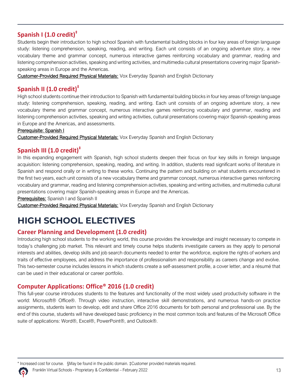#### **Spanish I (1.0 credit)‡**

Students begin their introduction to high school Spanish with fundamental building blocks in four key areas of foreign language study: listening comprehension, speaking, reading, and writing. Each unit consists of an ongoing adventure story, a new vocabulary theme and grammar concept, numerous interactive games reinforcing vocabulary and grammar, reading and listening comprehension activities, speaking and writing activities, and multimedia cultural presentations covering major Spanishspeaking areas in Europe and the Americas.

Customer-Provided Required Physical Materials: Vox Everyday Spanish and English Dictionary

#### **Spanish II (1.0 credit)‡**

High school students continue their introduction to Spanish with fundamental building blocks in four key areas of foreign language study: listening comprehension, speaking, reading, and writing. Each unit consists of an ongoing adventure story, a new vocabulary theme and grammar concept, numerous interactive games reinforcing vocabulary and grammar, reading and listening comprehension activities, speaking and writing activities, cultural presentations covering major Spanish-speaking areas in Europe and the Americas, and assessments.

#### Prerequisite: Spanish I

Customer-Provided Required Physical Materials: Vox Everyday Spanish and English Dictionary

#### **Spanish III (1.0 credit)‡**

In this expanding engagement with Spanish, high school students deepen their focus on four key skills in foreign language acquisition: listening comprehension, speaking, reading, and writing. In addition, students read significant works of literature in Spanish and respond orally or in writing to these works. Continuing the pattern and building on what students encountered in the first two years, each unit consists of a new vocabulary theme and grammar concept, numerous interactive games reinforcing vocabulary and grammar, reading and listening comprehension activities, speaking and writing activities, and multimedia cultural presentations covering major Spanish-speaking areas in Europe and the Americas.

#### Prerequisites: Spanish I and Spanish II

Customer-Provided Required Physical Materials: Vox Everyday Spanish and English Dictionary

# <span id="page-13-0"></span>**HIGH SCHOOL ELECTIVES**

#### **Career Planning and Development (1.0 credit)**

Introducing high school students to the working world, this course provides the knowledge and insight necessary to compete in today's challenging job market. This relevant and timely course helps students investigate careers as they apply to personal interests and abilities, develop skills and job search documents needed to enter the workforce, explore the rights of workers and traits of effective employees, and address the importance of professionalism and responsibility as careers change and evolve. This two-semester course includes lessons in which students create a self-assessment profile, a cover letter, and a résumé that can be used in their educational or career portfolio.

#### **Computer Applications: Office® 2016 (1.0 credit)**

This full-year course introduces students to the features and functionality of the most widely used productivity software in the world: Microsoft® Office®. Through video instruction, interactive skill demonstrations, and numerous hands-on practice assignments, students learn to develop, edit and share Office 2016 documents for both personal and professional use. By the end of this course, students will have developed basic proficiency in the most common tools and features of the Microsoft Office suite of applications: Word®, Excel®, PowerPoint®, and Outlook®.

Franklin Virtual Schools - Proprietary & Confidential – February 2022 13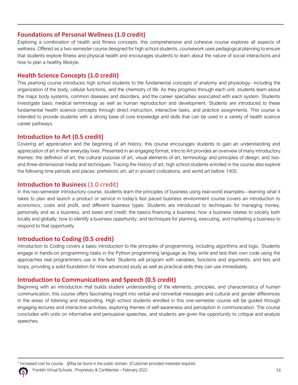#### **Foundations of Personal Wellness (1.0 credit)**

Exploring a combination of health and fitness concepts, this comprehensive and cohesive course explores all aspects of wellness. Offered as a two-semester course designed for high school students, coursework uses pedagogical planning to ensure that students explore fitness and physical health and encourages students to learn about the nature of social interactions and how to plan a healthy lifestyle.

#### **Health Science Concepts (1.0 credit)**

This yearlong course introduces high school students to the fundamental concepts of anatomy and physiology- including the organization of the body, cellular functions, and the chemistry of life. As they progress through each unit, students learn about the major body systems, common diseases and disorders, and the career specialties associated with each system. Students investigate basic medical terminology as well as human reproduction and development. Students are introduced to these fundamental health science concepts through direct instruction, interactive tasks, and practice assignments. This course is intended to provide students with a strong base of core knowledge and skills that can be used in a variety of health science career pathways.

#### **Introduction to Art (0.5 credit)**

Covering art appreciation and the beginning of art history, this course encourages students to gain an understanding and appreciation of art in their everyday lives. Presented in an engaging format, Intro to Art provides an overview of many introductory themes: the definition of art, the cultural purpose of art, visual elements of art, terminology and principles of design, and twoand three-dimensional media and techniques. Tracing the history of art, high school students enrolled in the course also explore the following time periods and places: prehistoric art, art in ancient civilizations, and world art before 1400.

#### **Introduction to Business** (1.0 credit)

In this two-semester introductory course, students learn the principles of business using real-world examples—learning what it takes to plan and launch a product or service in today's fast paced business environment course covers an introduction to economics, costs and profit, and different business types. Students are introduced to techniques for managing money, personally and as a business, and taxes and credit; the basics financing a business; how a business relates to society both locally and globally; how to identify a business opportunity; and techniques for planning, executing, and marketing a business to respond to that opportunity.

#### **Introduction to Coding (0.5 credit)**

Introduction to Coding covers a basic introduction to the principles of programming, including algorithms and logic. Students engage in hands-on programming tasks in the Python programming language as they write and test their own code using the approaches real programmers use in the field. Students will program with variables, functions and arguments, and lists and loops, providing a solid foundation for more advanced study as well as practical skills they can use immediately.

#### **Introduction to Communications and Speech (0.5 credit)**

Beginning with an introduction that builds student understanding of the elements, principles, and characteristics of human communication, this course offers fascinating insight into verbal and nonverbal messages and cultural and gender differences in the areas of listening and responding. High school students enrolled in this one-semester course will be guided through engaging lectures and interactive activities, exploring themes of self-awareness and perception in communication. The course concludes with units on informative and persuasive speeches, and students are given the opportunity to critique and analyze speeches.

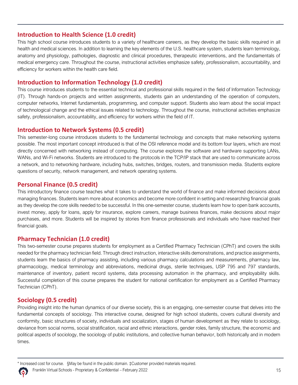#### **Introduction to Health Science (1.0 credit)**

This high school course introduces students to a variety of healthcare careers, as they develop the basic skills required in all health and medical sciences. In addition to learning the key elements of the U.S. healthcare system, students learn terminology, anatomy and physiology, pathologies, diagnostic and clinical procedures, therapeutic interventions, and the fundamentals of medical emergency care. Throughout the course, instructional activities emphasize safety, professionalism, accountability, and efficiency for workers within the health care field.

#### **Introduction to Information Technology (1.0 credit)**

This course introduces students to the essential technical and professional skills required in the field of lnformation Technology (IT). Through hands-on projects and written assignments, students gain an understanding of the operation of computers, computer networks, Internet fundamentals, programming, and computer support. Students also learn about the social impact of technological change and the ethical issues related to technology. Throughout the course, instructional activities emphasize safety, professionalism, accountability, and efficiency for workers within the field of IT.

#### **Introduction to Network Systems (0.5 credit)**

This semester-long course introduces students to the fundamental technology and concepts that make networking systems possible. The most important concept introduced is that of the OSI reference model and its bottom four layers, which are most directly concerned with networking instead of computing. The course explores the software and hardware supporting LANs, WANs, and Wi-Fi networks. Students are introduced to the protocols in the TCP/IP stack that are used to communicate across a network, and to networking hardware, including hubs, switches, bridges, routers, and transmission media. Students explore questions of security, network management, and network operating systems.

#### **Personal Finance (0.5 credit)**

This introductory finance course teaches what it takes to understand the world of finance and make informed decisions about managing finances. Students learn more about economics and become more confident in setting and researching financial goals as they develop the core skills needed to be successful. In this one-semester course, students learn how to open bank accounts, invest money, apply for loans, apply for insurance, explore careers, manage business finances, make decisions about major purchases, and more. Students will be inspired by stories from finance professionals and individuals who have reached their financial goals.

#### **Pharmacy Technician (1.0 credit)**

This two-semester course prepares students for employment as a Certified Pharmacy Technician (CPhT) and covers the skills needed for the pharmacy technician field. Through direct instruction, interactive skills demonstrations, and practice assignments, students learn the basics of pharmacy assisting, including various pharmacy calculations and measurements, pharmacy law, pharmacology, medical terminology and abbreviations, medicinal drugs, sterile techniques, USP 795 and 797 standards, maintenance of inventory, patient record systems, data processing automation in the pharmacy, and employability skills. Successful completion of this course prepares the student for national certification for employment as a Certified Pharmacy Technician (CPhT).

#### **Sociology (0.5 credit)**

Providing insight into the human dynamics of our diverse society, this is an engaging, one-semester course that delves into the fundamental concepts of sociology. This interactive course, designed for high school students, covers cultural diversity and conformity, basic structures of society, individuals and socialization, stages of human development as they relate to sociology, deviance from social norms, social stratification, racial and ethnic interactions, gender roles, family structure, the economic and political aspects of sociology, the sociology of public institutions, and collective human behavior, both historically and in modern times.

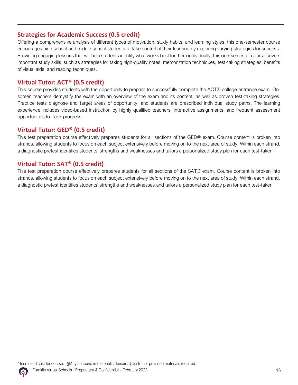#### **Strategies for Academic Success (0.5 credit)**

Offering a comprehensive analysis of different types of motivation, study habits, and learning styles, this one-semester course encourages high school and middle school students to take control of their learning by exploring varying strategies for success. Providing engaging lessons that will help students identify what works best for them individually, this one-semester course covers important study skills, such as strategies for taking high-quality notes, memorization techniques, test-taking strategies, benefits of visual aids, and reading techniques.

#### **Virtual Tutor: ACT® (0.5 credit)**

This course provides students with the opportunity to prepare to successfully complete the ACT® college-entrance exam. Onscreen teachers demystify the exam with an overview of the exam and its content, as well as proven test-taking strategies. Practice tests diagnose and target areas of opportunity, and students are prescribed individual study paths. The learning experience includes video-based instruction by highly qualified teachers, interactive assignments, and frequent assessment opportunities to track progress.

#### **Virtual Tutor: GED® (0.5 credit)**

This test preparation course effectively prepares students for all sections of the GED® exam. Course content is broken into strands, allowing students to focus on each subject extensively before moving on to the next area of study. Within each strand, a diagnostic pretest identifies students' strengths and weaknesses and tailors a personalized study plan for each test-taker.

#### **Virtual Tutor: SAT® (0.5 credit)**

This test preparation course effectively prepares students for all sections of the SAT® exam. Course content is broken into strands, allowing students to focus on each subject extensively before moving on to the next area of study. Within each strand, a diagnostic pretest identifies students' strengths and weaknesses and tailors a personalized study plan for each test-taker.